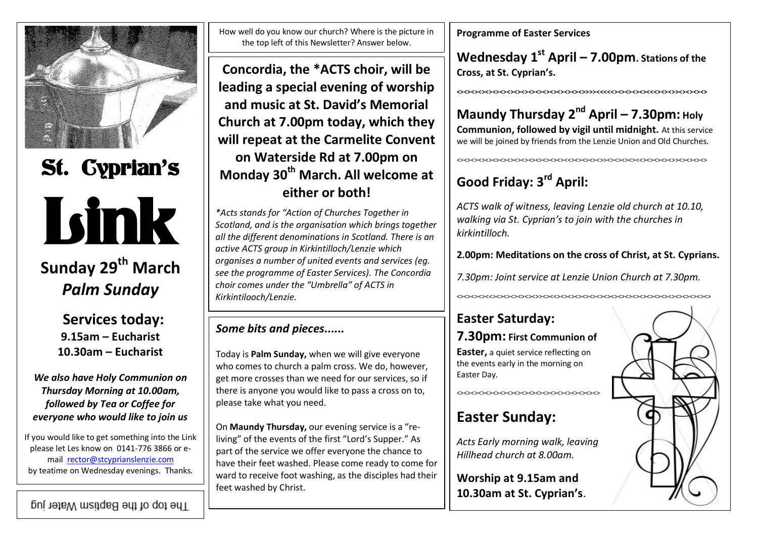

# St. Cyprian's Link

# **Sunday 29th March** *Palm Sunday*

**Services today: 9.15am – Eucharist 10.30am – Eucharist**

*We also have Holy Communion on Thursday Morning at 10.00am, followed by Tea or Coffee for everyone who would like to join us*

If you would like to get something into the Link please let Les know on 0141-776 3866 or email [rector@stcyprianslenzie.com](mailto:rector@stcyprianslenzie.com) by teatime on Wednesday evenings. Thanks.

The top of the Baptism Water jug

How well do you know our church? Where is the picture in the top left of this Newsletter? Answer below.

**Concordia, the \*ACTS choir, will be leading a special evening of worship and music at St. David's Memorial Church at 7.00pm today, which they will repeat at the Carmelite Convent on Waterside Rd at 7.00pm on Monday 30th March. All welcome at either or both!**

*\*Acts stands for "Action of Churches Together in Scotland, and is the organisation which brings together all the different denominations in Scotland. There is an active ACTS group in Kirkintilloch/Lenzie which organises a number of united events and services (eg. see the programme of Easter Services). The Concordia choir comes under the "Umbrella" of ACTS in Kirkintilooch/Lenzie.*

## *Some bits and pieces......*

Today is **Palm Sunday,** when we will give everyone who comes to church a palm cross. We do, however, get more crosses than we need for our services, so if there is anyone you would like to pass a cross on to, please take what you need.

On **Maundy Thursday,** our evening service is a "reliving" of the events of the first "Lord's Supper." As part of the service we offer everyone the chance to have their feet washed. Please come ready to come for ward to receive foot washing, as the disciples had their feet washed by Christ.

**Programme of Easter Services**

**Wednesday 1st April – 7.00pm. Stations of the Cross, at St. Cyprian's.**

#### **<><><><><><><><><><><><><><><><><><>>>><<<<<><><><><><<<><><>><><><><>**

## **Maundy Thursday 2nd April – 7.30pm: Holy**

**Communion, followed by vigil until midnight.** At this service we will be joined by friends from the Lenzie Union and Old Churches.

<><><><><><><><><><><><><><><><<><><><><>><><><><><<><><><><>><><><><>

# **Good Friday: 3rd April:**

*ACTS walk of witness, leaving Lenzie old church at 10.10, walking via St. Cyprian's to join with the churches in kirkintilloch.*

#### **2.00pm: Meditations on the cross of Christ, at St. Cyprians.**

*7.30pm: Joint service at Lenzie Union Church at 7.30pm.*

<><><><><<><><><><><><>><><<><><><><><><><><><><><><><><><><><><><><><>

## **Easter Saturday:**

## **7.30pm: First Communion of**

**Easter,** a quiet service reflecting on the events early in the morning on Easter Day.

<><><><><><><><><><><><><><><><><><><><>

## **Easter Sunday:**

*Acts Early morning walk, leaving Hillhead church at 8.00am.*

**Worship at 9.15am and 10.30am at St. Cyprian's**.